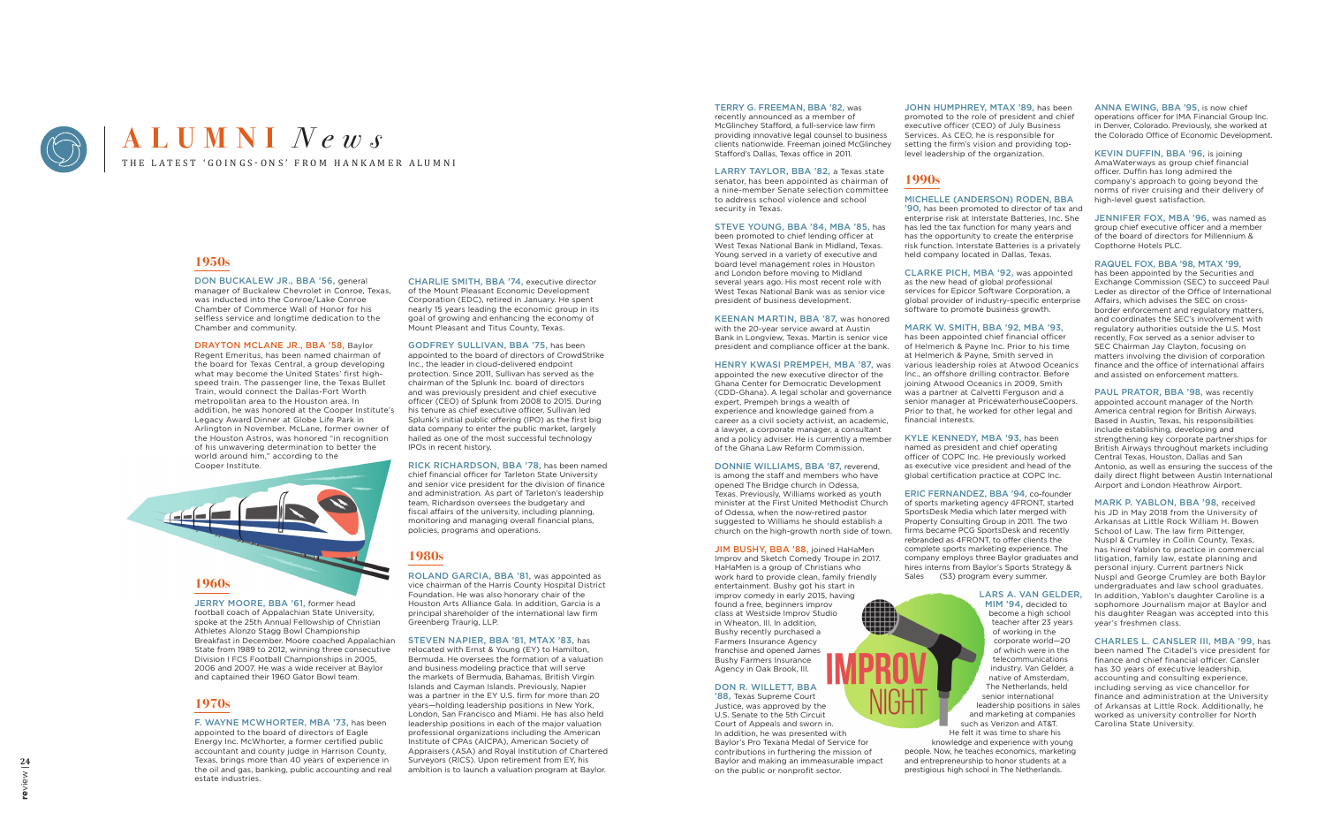

# THE LATEST 'GOINGS-ONS' FROM HANKAMER ALUMNI **ALUMNI** *News*

## **1950s**

DON BUCKALEW JR., BBA '56, general manager of Buckalew Chevrolet in Conroe, Texas, was inducted into the Conroe/Lake Conroe Chamber of Commerce Wall of Honor for his selfless service and longtime dedication to the Chamber and community.

DRAYTON MCLANE JR., BBA '58, Baylor Regent Emeritus, has been named chairman of the board for Texas Central, a group developing what may become the United States' first highspeed train. The passenger line, the Texas Bullet Train, would connect the Dallas-Fort Worth metropolitan area to the Houston area. In addition, he was honored at the Cooper Institute's Legacy Award Dinner at Globe Life Park in Arlington in November. McLane, former owner of the Houston Astros, was honored "in recognition of his unwavering determination to better the world around him," according to the Cooper Institute.



JERRY MOORE, BBA '61, former head football coach of Appalachian State University, spoke at the 25th Annual Fellowship of Christian Athletes Alonzo Stagg Bowl Championship Breakfast in December. Moore coached Appalachian State from 1989 to 2012, winning three consecutive Division I FCS Football Championships in 2005, 2006 and 2007. He was a wide receiver at Baylor and captained their 1960 Gator Bowl team.

## **1970s**

F. WAYNE MCWHORTER, MBA '73, has been appointed to the board of directors of Eagle Energy Inc. McWhorter, a former certified public accountant and county judge in Harrison County, Texas, brings more than 40 years of experience in the oil and gas, banking, public accounting and real estate industries.

CHARLIE SMITH, BBA '74, executive director of the Mount Pleasant Economic Development Corporation (EDC), retired in January. He spent nearly 15 years leading the economic group in its goal of growing and enhancing the economy of Mount Pleasant and Titus County, Texas.

LARRY TAYLOR, BBA '82, a Texas state senator, has been appointed as chairman of a nine-member Senate selection committee to address school violence and school security in Texas.

GODFREY SULLIVAN, BBA '75, has been appointed to the board of directors of CrowdStrike Inc., the leader in cloud-delivered endpoint protection. Since 2011, Sullivan has served as the chairman of the Splunk Inc. board of directors and was previously president and chief executive officer (CEO) of Splunk from 2008 to 2015. During his tenure as chief executive officer, Sullivan led Splunk's initial public offering (IPO) as the first big data company to enter the public market, largely hailed as one of the most successful technology IPOs in recent history.

RICK RICHARDSON, BBA '78, has been named chief financial officer for Tarleton State University and senior vice president for the division of finance and administration. As part of Tarleton's leadership team, Richardson oversees the budgetary and fiscal affairs of the university, including planning monitoring and managing overall financial plans, policies, programs and operations.

## **1980s**

ROLAND GARCIA, BBA '81, was appointed as vice chairman of the Harris County Hospital District Foundation. He was also honorary chair of the Houston Arts Alliance Gala. In addition, Garcia is a principal shareholder of the international law firm Greenberg Traurig, LLP.

#### STEVEN NAPIER, BBA '81, MTAX '83, has

'90, has been promoted to director of tax and enterprise risk at Interstate Batteries, Inc. She has led the tax function for many years and has the opportunity to create the enterprise risk function. Interstate Batteries is a privately held company located in Dallas, Texas.

relocated with Ernst & Young (EY) to Hamilton, Bermuda. He oversees the formation of a valuation and business modeling practice that will serve the markets of Bermuda, Bahamas, British Virgin Islands and Cayman Islands. Previously, Napier was a partner in the EY U.S. firm for more than 20 years—holding leadership positions in New York, London, San Francisco and Miami. He has also held leadership positions in each of the major valuation professional organizations including the American Institute of CPAs (AICPA), American Society of Appraisers (ASA) and Royal Institution of Chartered Surveyors (RICS). Upon retirement from EY, his ambition is to launch a valuation program at Baylor.

### TERRY G. FREEMAN, BBA '82, was

ERIC FERNANDEZ, BBA '94, co-founder of sports marketing agency 4FRONT, started SportsDesk Media which later merged with Property Consulting Group in 2011. The two firms became PCG SportsDesk and recently rebranded as 4FRONT, to offer clients the complete sports marketing experience. The company employs three Baylor graduates and hires interns from Baylor's Sports Strategy & Sales (S3) program every summer

recently announced as a member of McGlinchey Stafford, a full-service law firm providing innovative legal counsel to business clients nationwide. Freeman joined McGlinchey Stafford's Dallas, Texas office in 2011.

#### STEVE YOUNG, BBA '84, MBA '85, has

been promoted to chief lending officer at West Texas National Bank in Midland, Texas. Young served in a variety of executive and board level management roles in Houston and London before moving to Midland several years ago. His most recent role with West Texas National Bank was as senior vice president of business development.

KEENAN MARTIN, BBA '87, was honored with the 20-year service award at Austin Bank in Longview, Texas. Martin is senior vice president and compliance officer at the bank.

#### HENRY KWASI PREMPEH, MBA '87, was

appointed the new executive director of the Ghana Center for Democratic Development (CDD-Ghana). A legal scholar and governance expert, Prempeh brings a wealth of experience and knowledge gained from a career as a civil society activist, an academic, a lawyer, a corporate manager, a consultant and a policy adviser. He is currently a member of the Ghana Law Reform Commission.

PAUL PRATOR, BBA '98, was recently appointed account manager of the North America central region for British Airways. Based in Austin, Texas, his responsibilities include establishing, developing and strengthening key corporate partnerships for British Airways throughout markets including Central Texas, Houston, Dallas and San Antonio, as well as ensuring the success of the daily direct flight between Austin International Airport and London Heathrow Airport.

DONNIE WILLIAMS, BBA '87, reverend, is among the staff and members who have opened The Bridge church in Odessa, Texas. Previously, Williams worked as youth

minister at the First United Methodist Church of Odessa, when the now-retired pastor suggested to Williams he should establish a church on the high-growth north side of town.

JIM BUSHY, BBA '88, joined HaHaMen Improv and Sketch Comedy Troupe in 2017. HaHaMen is a group of Christians who work hard to provide clean, family friendly entertainment. Bushy got his start in improv comedy in early 2015, having found a free, beginners improv class at Westside Improv Studio in Wheaton, Ill. In addition, Bushy recently purchased a Farmers Insurance Agency franchise and opened James Bushy Farmers Insurance Agency in Oak Brook, Ill.

JOHN HUMPHREY, MTAX '89, has been promoted to the role of president and chief executive officer (CEO) of July Business Services. As CEO, he is responsible for setting the firm's vision and providing toplevel leadership of the organization.

## **1990s**

#### MICHELLE (ANDERSON) RODEN, BBA

CLARKE PICH, MBA '92, was appointed as the new head of global professional services for Epicor Software Corporation, a global provider of industry-specific enterprise software to promote business growth.

MARK W. SMITH, BBA '92, MBA '93, has been appointed chief financial officer

DON R. WILLETT, BBA '88, Texas Supreme Court Justice, was approved by the U.S. Senate to the 5th Circuit Court of Appeals and sworn in. In addition, he was presented with Baylor's Pro Texana Medal of Service for contributions in furthering the mission of Baylor and making an immeasurable impact on the public or nonprofit sector. LARS A. VAN GELDER, MIM '94, decided to become a high school teacher after 23 years of working in the corporate world—20 of which were in the telecommunications industry. Van Gelder, a native of Amsterdam, The Netherlands, held senior international leadership positions in sales and marketing at companies such as Verizon and AT&T. He felt it was time to share his knowledge and experience with young people. Now, he teaches economics, marketing and entrepreneurship to honor students at a prestigious high school in The Netherlands.

of Helmerich & Payne Inc. Prior to his time at Helmerich & Payne, Smith served in various leadership roles at Atwood Oceanics Inc., an offshore drilling contractor. Before joining Atwood Oceanics in 2009, Smith was a partner at Calvetti Ferguson and a senior manager at PricewaterhouseCoopers. Prior to that, he worked for other legal and financial interests.

KYLE KENNEDY, MBA '93, has been named as president and chief operating officer of COPC Inc. He previously worked as executive vice president and head of the global certification practice at COPC Inc.

ANNA EWING, BBA '95, is now chief operations officer for IMA Financial Group Inc. in Denver, Colorado. Previously, she worked at the Colorado Office of Economic Development.

KEVIN DUFFIN, BBA '96, is joining AmaWaterways as group chief financial officer. Duffin has long admired the company's approach to going beyond the norms of river cruising and their delivery of high-level guest satisfaction.

JENNIFER FOX, MBA '96, was named as group chief executive officer and a member of the board of directors for Millennium & Copthorne Hotels PLC.

#### RAQUEL FOX, BBA '98, MTAX '99,

has been appointed by the Securities and Exchange Commission (SEC) to succeed Paul Leder as director of the Office of International Affairs, which advises the SEC on crossborder enforcement and regulatory matters, and coordinates the SEC's involvement with regulatory authorities outside the U.S. Most recently, Fox served as a senior adviser to SEC Chairman Jay Clayton, focusing on matters involving the division of corporation finance and the office of international affairs and assisted on enforcement matters.

MARK P. YABLON, BBA '98, received his JD in May 2018 from the University of Arkansas at Little Rock William H. Bowen School of Law. The law firm Pittenger, Nuspl & Crumley in Collin County, Texas, has hired Yablon to practice in commercial litigation, family law, estate planning and personal injury. Current partners Nick Nuspl and George Crumley are both Baylor undergraduates and law school graduates. In addition, Yablon's daughter Caroline is a sophomore Journalism major at Baylor and his daughter Reagan was accepted into this year's freshmen class.

CHARLES L. CANSLER III, MBA '99, has been named The Citadel's vice president for finance and chief financial officer. Cansler has 30 years of executive leadership, accounting and consulting experience, including serving as vice chancellor for finance and administration at the University of Arkansas at Little Rock. Additionally, he worked as university controller for North Carolina State University.